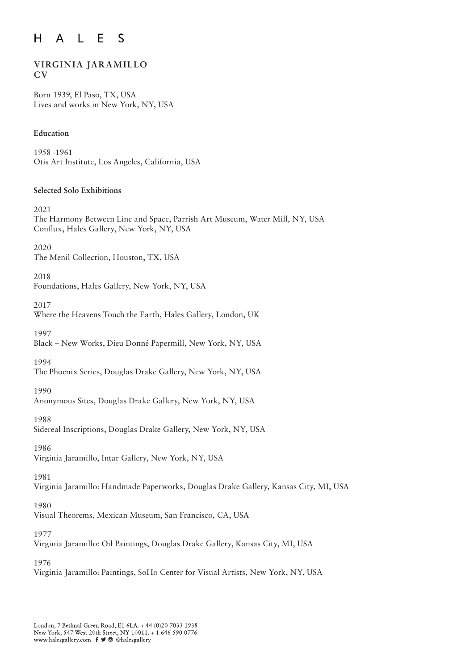#### $H$  $L$   $E$  $\mathsf{S}$  $\mathsf{A}$

# **VIRGINIA JARAMILLO CV**

Born 1939, El Paso, TX, USA Lives and works in New York, NY, USA

## **Education**

1958 -1961 Otis Art Institute, Los Angeles, California, USA

## **Selected Solo Exhibitions**

2021

The Harmony Between Line and Space, Parrish Art Museum, Water Mill, NY, USA Conflux, Hales Gallery, New York, NY, USA

2020

The Menil Collection, Houston, TX, USA

2018

Foundations, Hales Gallery, New York, NY, USA

2017

Where the Heavens Touch the Earth, Hales Gallery, London, UK

1997

Black – New Works, Dieu Donné Papermill, New York, NY, USA

1994

The Phoenix Series, Douglas Drake Gallery, New York, NY, USA

1990

Anonymous Sites, Douglas Drake Gallery, New York, NY, USA

1988

Sidereal Inscriptions, Douglas Drake Gallery, New York, NY, USA

1986

Virginia Jaramillo, Intar Gallery, New York, NY, USA

1981

Virginia Jaramillo: Handmade Paperworks, Douglas Drake Gallery, Kansas City, MI, USA

1980

Visual Theorems, Mexican Museum, San Francisco, CA, USA

1977

Virginia Jaramillo: Oil Paintings, Douglas Drake Gallery, Kansas City, MI, USA

1976

Virginia Jaramillo: Paintings, SoHo Center for Visual Artists, New York, NY, USA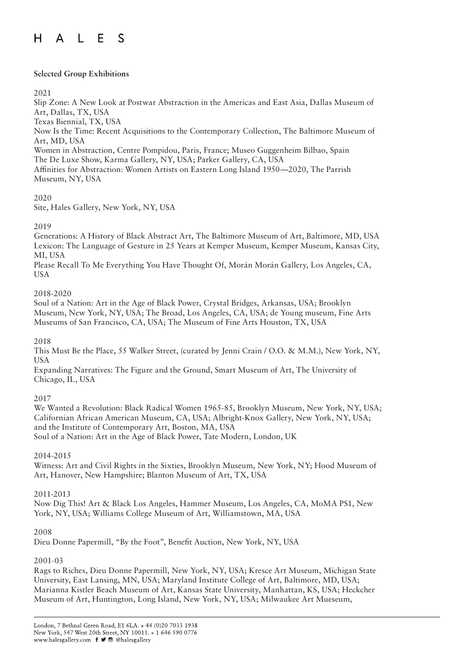#### $H$ L E S  $\mathsf{A}$

## **Selected Group Exhibitions**

#### 2021

Slip Zone: A New Look at Postwar Abstraction in the Americas and East Asia, Dallas Museum of Art, Dallas, TX, USA

Texas Biennial, TX, USA

Now Is the Time: Recent Acquisitions to the Contemporary Collection, The Baltimore Museum of Art, MD, USA

Women in Abstraction, Centre Pompidou, Paris, France; Museo Guggenheim Bilbao, Spain The De Luxe Show, Karma Gallery, NY, USA; Parker Gallery, CA, USA

Affinities for Abstraction: Women Artists on Eastern Long Island 1950—2020, The Parrish Museum, NY, USA

## 2020

Site, Hales Gallery, New York, NY, USA

## 2019

Generations: A History of Black Abstract Art, The Baltimore Museum of Art, Baltimore, MD, USA Lexicon: The Language of Gesture in 25 Years at Kemper Museum, Kemper Museum, Kansas City, MI, USA

Please Recall To Me Everything You Have Thought Of, Morán Morán Gallery, Los Angeles, CA, USA

## 2018-2020

Soul of a Nation: Art in the Age of Black Power, Crystal Bridges, Arkansas, USA; Brooklyn Museum, New York, NY, USA; The Broad, Los Angeles, CA, USA; de Young museum, Fine Arts Museums of San Francisco, CA, USA; The Museum of Fine Arts Houston, TX, USA

## 2018

This Must Be the Place, 55 Walker Street, (curated by Jenni Crain / O.O. & M.M.), New York, NY, USA

Expanding Narratives: The Figure and the Ground, Smart Museum of Art, The University of Chicago, IL, USA

## 2017

We Wanted a Revolution: Black Radical Women 1965-85, Brooklyn Museum, New York, NY, USA; Californian African American Museum, CA, USA; Albright-Knox Gallery, New York, NY, USA; and the Institute of Contemporary Art, Boston, MA, USA Soul of a Nation: Art in the Age of Black Power, Tate Modern, London, UK

## 2014-2015

Witness: Art and Civil Rights in the Sixties, Brooklyn Museum, New York, NY; Hood Museum of Art, Hanover, New Hampshire; Blanton Museum of Art, TX, USA

## 2011-2013

Now Dig This! Art & Black Los Angeles, Hammer Museum, Los Angeles, CA, MoMA PS1, New York, NY, USA; Williams College Museum of Art, Williamstown, MA, USA

## 2008

Dieu Donne Papermill, "By the Foot", Benefit Auction, New York, NY, USA

## 2001-03

Rags to Riches, Dieu Donne Papermill, New York, NY, USA; Kresce Art Museum, Michigan State University, East Lansing, MN, USA; Maryland Institute College of Art, Baltimore, MD, USA; Marianna Kistler Beach Museum of Art, Kansas State University, Manhattan, KS, USA; Heckcher Museum of Art, Huntington, Long Island, New York, NY, USA; Milwaukee Art Mueseum,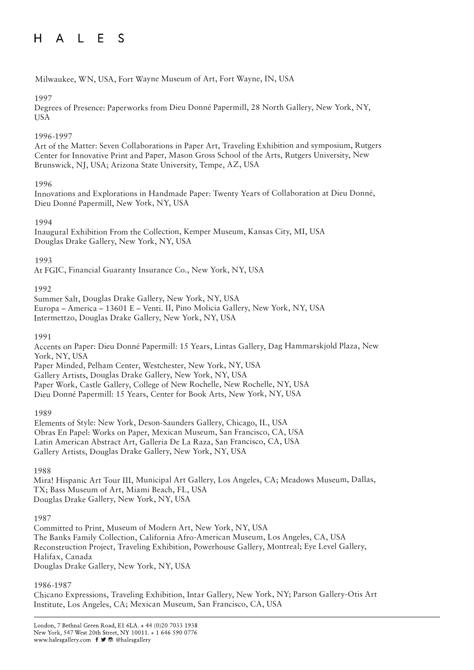#### A L E  $H$  $\mathcal{S}$

## Milwaukee, WN, USA, Fort Wayne Museum of Art, Fort Wayne, IN, USA

## 1997

Degrees of Presence: Paperworks from Dieu Donné Papermill, 28 North Gallery, New York, NY, **USA** 

## 1996-1997

Art of the Matter: Seven Collaborations in Paper Art, Traveling Exhibition and symposium, Rutgers Center for Innovative Print and Paper, Mason Gross School of the Arts, Rutgers University, New Brunswick, NJ, USA; Arizona State University, Tempe, AZ, USA

## 1996

Innovations and Explorations in Handmade Paper: Twenty Years of Collaboration at Dieu Donné, Dieu Donné Papermill, New York, NY, USA

## 1994

Inaugural Exhibition From the Collection, Kemper Museum, Kansas City, MI, USA Douglas Drake Gallery, New York, NY, USA

## 1993

At FGIC, Financial Guaranty Insurance Co., New York, NY, USA

## 1992

Summer Salt, Douglas Drake Gallery, New York, NY, USA Europa – America – 13601 E – Venti. II, Pino Molicia Gallery, New York, NY, USA Intermettzo, Douglas Drake Gallery, New York, NY, USA

## 1991

Accents on Paper: Dieu Donné Papermill: 15 Years, Lintas Gallery, Dag Hammarskjold Plaza, New York, NY, USA Paper Minded, Pelham Center, Westchester, New York, NY, USA Gallery Artists, Douglas Drake Gallery, New York, NY, USA

Paper Work, Castle Gallery, College of New Rochelle, New Rochelle, NY, USA

Dieu Donné Papermill: 15 Years, Center for Book Arts, New York, NY, USA

## 1989

Elements of Style: New York, Deson-Saunders Gallery, Chicago, IL, USA Obras En Papel: Works on Paper, Mexican Museum, San Francisco, CA, USA Latin American Abstract Art, Galleria De La Raza, San Francisco, CA, USA Gallery Artists, Douglas Drake Gallery, New York, NY, USA

1988

Mira! Hispanic Art Tour III, Municipal Art Gallery, Los Angeles, CA; Meadows Museum, Dallas, TX; Bass Museum of Art, Miami Beach, FL, USA Douglas Drake Gallery, New York, NY, USA

## 1987

Committed to Print, Museum of Modern Art, New York, NY, USA The Banks Family Collection, California Afro-American Museum, Los Angeles, CA, USA Reconstruction Project, Traveling Exhibition, Powerhouse Gallery, Montreal; Eye Level Gallery, Halifax, Canada Douglas Drake Gallery, New York, NY, USA

## 1986-1987

Chicano Expressions, Traveling Exhibition, Intar Gallery, New York, NY; Parson Gallery-Otis Art Institute, Los Angeles, CA; Mexican Museum, San Francisco, CA, USA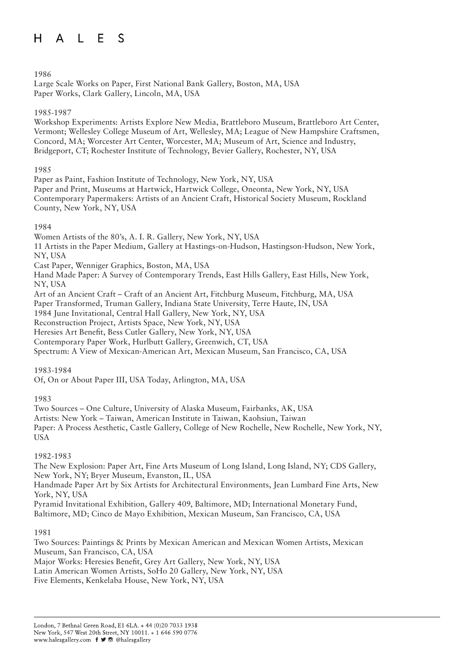1986

Large Scale Works on Paper, First National Bank Gallery, Boston, MA, USA Paper Works, Clark Gallery, Lincoln, MA, USA

## 1985-1987

Workshop Experiments: Artists Explore New Media, Brattleboro Museum, Brattleboro Art Center, Vermont; Wellesley College Museum of Art, Wellesley, MA; League of New Hampshire Craftsmen, Concord, MA; Worcester Art Center, Worcester, MA; Museum of Art, Science and Industry, Bridgeport, CT; Rochester Institute of Technology, Bevier Gallery, Rochester, NY, USA

1985

Paper as Paint, Fashion Institute of Technology, New York, NY, USA Paper and Print, Museums at Hartwick, Hartwick College, Oneonta, New York, NY, USA Contemporary Papermakers: Artists of an Ancient Craft, Historical Society Museum, Rockland County, New York, NY, USA

## 1984

Women Artists of the 80's, A. I. R. Gallery, New York, NY, USA

11 Artists in the Paper Medium, Gallery at Hastings-on-Hudson, Hastingson-Hudson, New York, NY, USA

Cast Paper, Wenniger Graphics, Boston, MA, USA

Hand Made Paper: A Survey of Contemporary Trends, East Hills Gallery, East Hills, New York, NY, USA

Art of an Ancient Craft – Craft of an Ancient Art, Fitchburg Museum, Fitchburg, MA, USA

Paper Transformed, Truman Gallery, Indiana State University, Terre Haute, IN, USA

1984 June Invitational, Central Hall Gallery, New York, NY, USA

Reconstruction Project, Artists Space, New York, NY, USA

Heresies Art Benefit, Bess Cutler Gallery, New York, NY, USA

Contemporary Paper Work, Hurlbutt Gallery, Greenwich, CT, USA

Spectrum: A View of Mexican-American Art, Mexican Museum, San Francisco, CA, USA

## 1983-1984

Of, On or About Paper III, USA Today, Arlington, MA, USA

1983

Two Sources – One Culture, University of Alaska Museum, Fairbanks, AK, USA

Artists: New York – Taiwan, American Institute in Taiwan, Kaohsiun, Taiwan

Paper: A Process Aesthetic, Castle Gallery, College of New Rochelle, New Rochelle, New York, NY, USA

## 1982-1983

The New Explosion: Paper Art, Fine Arts Museum of Long Island, Long Island, NY; CDS Gallery, New York, NY; Bryer Museum, Evanston, IL, USA

Handmade Paper Art by Six Artists for Architectural Environments, Jean Lumbard Fine Arts, New York, NY, USA

Pyramid Invitational Exhibition, Gallery 409, Baltimore, MD; International Monetary Fund, Baltimore, MD; Cinco de Mayo Exhibition, Mexican Museum, San Francisco, CA, USA

1981

Two Sources: Paintings & Prints by Mexican American and Mexican Women Artists, Mexican Museum, San Francisco, CA, USA Major Works: Heresies Benefit, Grey Art Gallery, New York, NY, USA Latin American Women Artists, SoHo 20 Gallery, New York, NY, USA Five Elements, Kenkelaba House, New York, NY, USA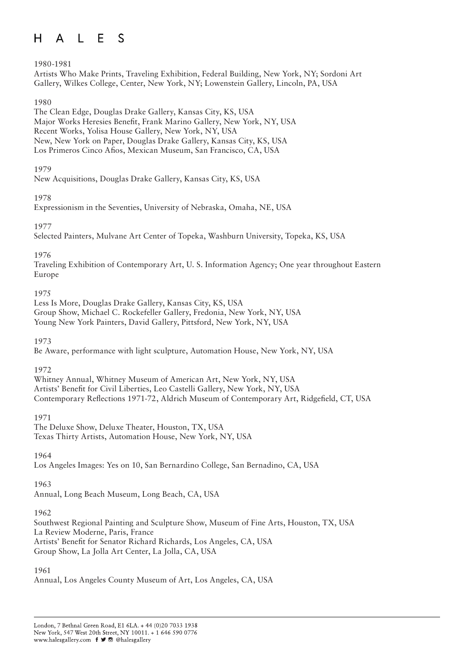#### $L$  E  $H$  $\mathsf{A}$ S

## 1980-1981

Artists Who Make Prints, Traveling Exhibition, Federal Building, New York, NY; Sordoni Art Gallery, Wilkes College, Center, New York, NY; Lowenstein Gallery, Lincoln, PA, USA

## 1980

The Clean Edge, Douglas Drake Gallery, Kansas City, KS, USA Major Works Heresies Benefit, Frank Marino Gallery, New York, NY, USA Recent Works, Yolisa House Gallery, New York, NY, USA New, New York on Paper, Douglas Drake Gallery, Kansas City, KS, USA Los Primeros Cinco Afios, Mexican Museum, San Francisco, CA, USA

## 1979

New Acquisitions, Douglas Drake Gallery, Kansas City, KS, USA

## 1978

Expressionism in the Seventies, University of Nebraska, Omaha, NE, USA

## 1977

Selected Painters, Mulvane Art Center of Topeka, Washburn University, Topeka, KS, USA

## 1976

Traveling Exhibition of Contemporary Art, U. S. Information Agency; One year throughout Eastern Europe

## 1975

Less Is More, Douglas Drake Gallery, Kansas City, KS, USA Group Show, Michael C. Rockefeller Gallery, Fredonia, New York, NY, USA Young New York Painters, David Gallery, Pittsford, New York, NY, USA

1973

Be Aware, performance with light sculpture, Automation House, New York, NY, USA

## 1972

Whitney Annual, Whitney Museum of American Art, New York, NY, USA Artists' Benefit for Civil Liberties, Leo Castelli Gallery, New York, NY, USA Contemporary Reflections 1971-72, Aldrich Museum of Contemporary Art, Ridgefield, CT, USA

## 1971

The Deluxe Show, Deluxe Theater, Houston, TX, USA Texas Thirty Artists, Automation House, New York, NY, USA

1964

Los Angeles Images: Yes on 10, San Bernardino College, San Bernadino, CA, USA

## 1963

Annual, Long Beach Museum, Long Beach, CA, USA

## 1962

Southwest Regional Painting and Sculpture Show, Museum of Fine Arts, Houston, TX, USA La Review Moderne, Paris, France Artists' Benefit for Senator Richard Richards, Los Angeles, CA, USA Group Show, La Jolla Art Center, La Jolla, CA, USA

## 1961

Annual, Los Angeles County Museum of Art, Los Angeles, CA, USA

London, 7 Bethnal Green Road, E1 6LA. + 44 (0)20 7033 1938 New York, 547 West 20th Street, NY 10011, + 1 646 590 0776 www.halesgallery.com f J @ @halesgallery